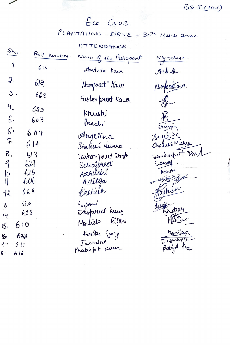ECO CLUB. PLANTATION - DRIVE - 30th March 2022

BSC. I (Med.).

ATTENDANCE.  $S_{h_0}$ . Roll Nember Name of the Partiopant Signature.  $1.$  $615$ Aswinder Kaur Aund She  $2.$  $61<sup>2</sup>$ Noorpreet Kawz Noonbookaus.  $3.$  $628$ Easter preet Kaw  $4.$ 622 Khushi  $\mathsf{S}\cdot$  $603$ brach'  $6.$ 604 Angelina  $7.$ shi Mishre  $614$ Shakshi Mishra 8.  $613$ Jastanprut Strgh 9 Seliajpieet  $627$ Seire Aasustri Aacustri  $626$  $\overline{10}$ Aditya<br>Karhish 606  $\mathbb{I}$  $623$  $72$ Gorfarshod  $620$  $[3]$ Taspreet kaw 618  $14$ Montiers Riperi  $610$  $IS.$ Kanika Gary 632 16. Jasmine  $\int a\delta$  $611$ 子. Prabhjot Kaur Probleot  $616$  $\epsilon$ .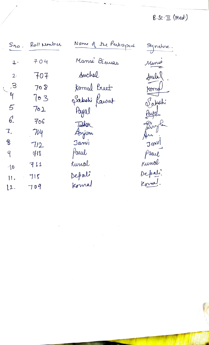## $B.Sc.\mathbb{T}$  (Med.)

| $S_{\boldsymbol{n}\boldsymbol{\varphi}}$ . | Roll Number | Name of the Participant | Signature |
|--------------------------------------------|-------------|-------------------------|-----------|
| $\ddagger \cdot$                           | 704         | Mansi Biswas            | Manse     |
| $2 \cdot$                                  | $+07$       | Anchal                  | Incla     |
| $\mathbb{C}^3$                             | 708         | formal Buet             | Kennol    |
| $\mathcal{L}_{\text{L}}$                   | $\log$      | Jakohi Kawat            | Sabshi    |
| 5                                          | 702         | Payal                   | Payot     |
| 6.                                         | 706         | Tushar                  | Birth     |
| 7.                                         | 714         | Anjom                   | Au        |
| B                                          | 712         | Janvi                   | Janvi     |
| 9                                          | 418         | Paeul                   | Paeul     |
| $\Delta$                                   | 711         | Lunal                   | Kunal     |
| 11,                                        | 715         | Depati                  | Depali.   |
| $\lfloor 2 \rfloor$                        | 709         | Komal                   | Konga!    |